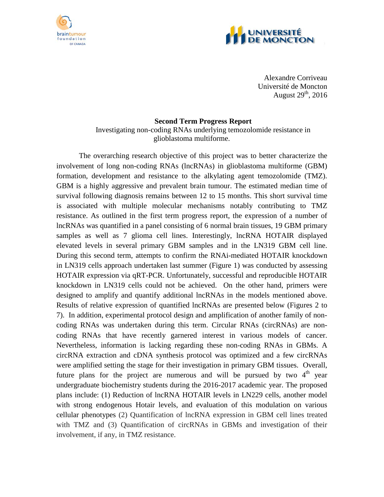



Alexandre Corriveau Université de Moncton August  $29<sup>th</sup>$ , 2016

## **Second Term Progress Report**

Investigating non-coding RNAs underlying temozolomide resistance in glioblastoma multiforme.

The overarching research objective of this project was to better characterize the involvement of long non-coding RNAs (lncRNAs) in glioblastoma multiforme (GBM) formation, development and resistance to the alkylating agent temozolomide (TMZ). GBM is a highly aggressive and prevalent brain tumour. The estimated median time of survival following diagnosis remains between 12 to 15 months. This short survival time is associated with multiple molecular mechanisms notably contributing to TMZ resistance. As outlined in the first term progress report, the expression of a number of lncRNAs was quantified in a panel consisting of 6 normal brain tissues, 19 GBM primary samples as well as 7 glioma cell lines. Interestingly, lncRNA HOTAIR displayed elevated levels in several primary GBM samples and in the LN319 GBM cell line. During this second term, attempts to confirm the RNAi-mediated HOTAIR knockdown in LN319 cells approach undertaken last summer (Figure 1) was conducted by assessing HOTAIR expression via qRT-PCR. Unfortunately, successful and reproducible HOTAIR knockdown in LN319 cells could not be achieved. On the other hand, primers were designed to amplify and quantify additional lncRNAs in the models mentioned above. Results of relative expression of quantified lncRNAs are presented below (Figures 2 to 7). In addition, experimental protocol design and amplification of another family of noncoding RNAs was undertaken during this term. Circular RNAs (circRNAs) are noncoding RNAs that have recently garnered interest in various models of cancer. Nevertheless, information is lacking regarding these non-coding RNAs in GBMs. A circRNA extraction and cDNA synthesis protocol was optimized and a few circRNAs were amplified setting the stage for their investigation in primary GBM tissues. Overall, future plans for the project are numerous and will be pursued by two  $4<sup>th</sup>$  year undergraduate biochemistry students during the 2016-2017 academic year. The proposed plans include: (1) Reduction of lncRNA HOTAIR levels in LN229 cells, another model with strong endogenous Hotair levels, and evaluation of this modulation on various cellular phenotypes (2) Quantification of lncRNA expression in GBM cell lines treated with TMZ and (3) Quantification of circRNAs in GBMs and investigation of their involvement, if any, in TMZ resistance.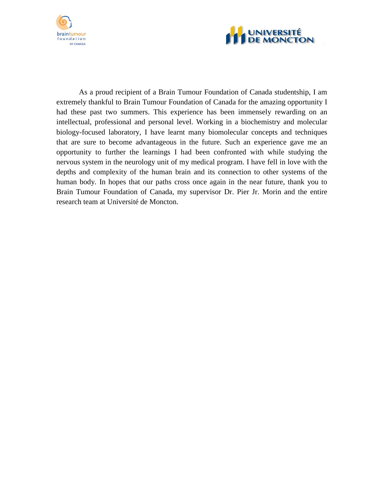



As a proud recipient of a Brain Tumour Foundation of Canada studentship, I am extremely thankful to Brain Tumour Foundation of Canada for the amazing opportunity I had these past two summers. This experience has been immensely rewarding on an intellectual, professional and personal level. Working in a biochemistry and molecular biology-focused laboratory, I have learnt many biomolecular concepts and techniques that are sure to become advantageous in the future. Such an experience gave me an opportunity to further the learnings I had been confronted with while studying the nervous system in the neurology unit of my medical program. I have fell in love with the depths and complexity of the human brain and its connection to other systems of the human body. In hopes that our paths cross once again in the near future, thank you to Brain Tumour Foundation of Canada, my supervisor Dr. Pier Jr. Morin and the entire research team at Université de Moncton.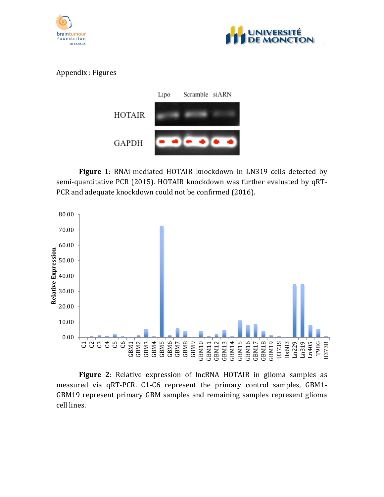



## Appendix : Figures



**Figure 1**: RNAi-mediated HOTAIR knockdown in LN319 cells detected by semi-quantitative PCR (2015). HOTAIR knockdown was further evaluated by qRT-PCR and adequate knockdown could not be confirmed (2016).



**Figure 2**: Relative expression of lncRNA HOTAIR in glioma samples as measured via qRT-PCR. C1-C6 represent the primary control samples, GBM1- GBM19 represent primary GBM samples and remaining samples represent glioma cell lines.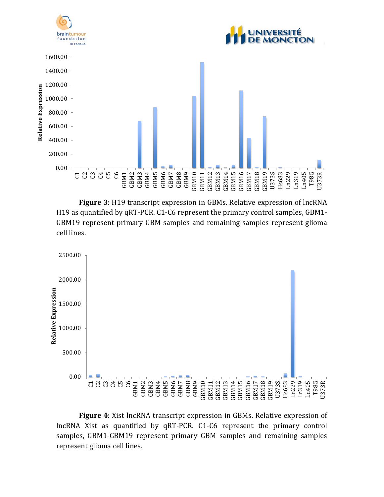

**Figure 3**: H19 transcript expression in GBMs. Relative expression of lncRNA H19 as quantified by qRT-PCR. C1-C6 represent the primary control samples, GBM1- GBM19 represent primary GBM samples and remaining samples represent glioma cell lines.



**Figure 4**: Xist lncRNA transcript expression in GBMs. Relative expression of lncRNA Xist as quantified by qRT-PCR. C1-C6 represent the primary control samples, GBM1-GBM19 represent primary GBM samples and remaining samples represent glioma cell lines.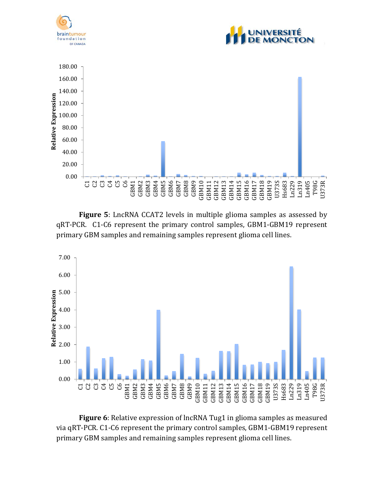

**Figure 5**: LncRNA CCAT2 levels in multiple glioma samples as assessed by qRT-PCR. C1-C6 represent the primary control samples, GBM1-GBM19 represent primary GBM samples and remaining samples represent glioma cell lines.



**Figure 6**: Relative expression of lncRNA Tug1 in glioma samples as measured via qRT-PCR. C1-C6 represent the primary control samples, GBM1-GBM19 represent primary GBM samples and remaining samples represent glioma cell lines.